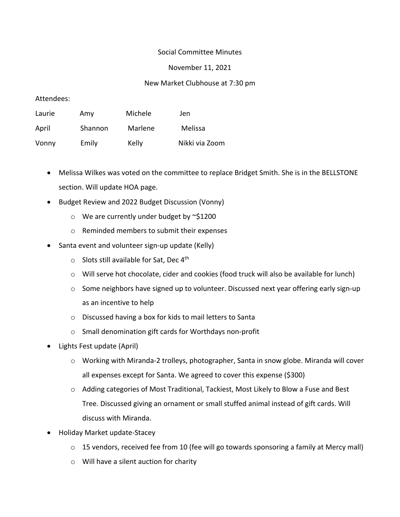## Social Committee Minutes

## November 11, 2021

## New Market Clubhouse at 7:30 pm

Attendees:

| Laurie | Amy     | Michele | Jen            |
|--------|---------|---------|----------------|
| April  | Shannon | Marlene | Melissa        |
| Vonny  | Emily   | Kelly   | Nikki via Zoom |

- Melissa Wilkes was voted on the committee to replace Bridget Smith. She is in the BELLSTONE section. Will update HOA page.
- Budget Review and 2022 Budget Discussion (Vonny)
	- o We are currently under budget by ~\$1200
	- o Reminded members to submit their expenses
- Santa event and volunteer sign-up update (Kelly)
	- $\circ$  Slots still available for Sat, Dec 4<sup>th</sup>
	- o Will serve hot chocolate, cider and cookies (food truck will also be available for lunch)
	- o Some neighbors have signed up to volunteer. Discussed next year offering early sign-up as an incentive to help
	- o Discussed having a box for kids to mail letters to Santa
	- o Small denomination gift cards for Worthdays non-profit
- Lights Fest update (April)
	- o Working with Miranda-2 trolleys, photographer, Santa in snow globe. Miranda will cover all expenses except for Santa. We agreed to cover this expense (\$300)
	- o Adding categories of Most Traditional, Tackiest, Most Likely to Blow a Fuse and Best Tree. Discussed giving an ornament or small stuffed animal instead of gift cards. Will discuss with Miranda.
- Holiday Market update-Stacey
	- o 15 vendors, received fee from 10 (fee will go towards sponsoring a family at Mercy mall)
	- o Will have a silent auction for charity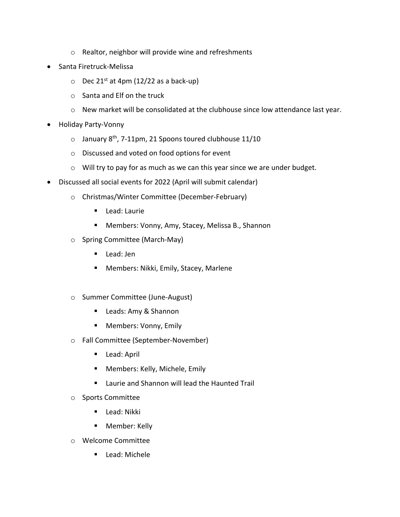- o Realtor, neighbor will provide wine and refreshments
- Santa Firetruck-Melissa
	- $\circ$  Dec 21<sup>st</sup> at 4pm (12/22 as a back-up)
	- o Santa and Elf on the truck
	- $\circ$  New market will be consolidated at the clubhouse since low attendance last year.
- Holiday Party-Vonny
	- $\circ$  January 8<sup>th</sup>, 7-11pm, 21 Spoons toured clubhouse 11/10
	- o Discussed and voted on food options for event
	- o Will try to pay for as much as we can this year since we are under budget.
- Discussed all social events for 2022 (April will submit calendar)
	- o Christmas/Winter Committee (December-February)
		- Lead: Laurie
		- Members: Vonny, Amy, Stacey, Melissa B., Shannon
	- o Spring Committee (March-May)
		- Lead: Jen
		- Members: Nikki, Emily, Stacey, Marlene
	- o Summer Committee (June-August)
		- Leads: Amy & Shannon
		- Members: Vonny, Emily
	- o Fall Committee (September-November)
		- Lead: April
		- Members: Kelly, Michele, Emily
		- Laurie and Shannon will lead the Haunted Trail
	- o Sports Committee
		- Lead: Nikki
		- Member: Kelly
	- o Welcome Committee
		- Lead: Michele